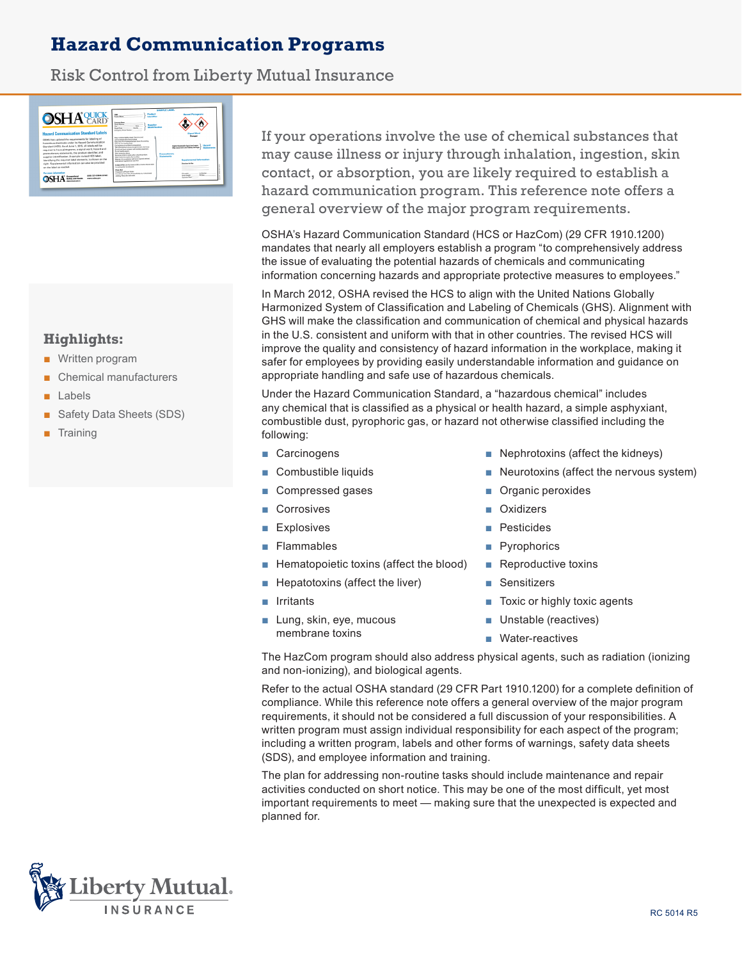# **Hazard Communication Programs**

# Risk Control from Liberty Mutual Insurance



## **Highlights:**

- Written program
- Chemical manufacturers
- **Labels**
- Safety Data Sheets (SDS)
- Training

If your operations involve the use of chemical substances that may cause illness or injury through inhalation, ingestion, skin contact, or absorption, you are likely required to establish a hazard communication program. This reference note offers a general overview of the major program requirements.

OSHA's Hazard Communication Standard (HCS or HazCom) (29 CFR 1910.1200) mandates that nearly all employers establish a program "to comprehensively address the issue of evaluating the potential hazards of chemicals and communicating information concerning hazards and appropriate protective measures to employees."

In March 2012, OSHA revised the HCS to align with the United Nations Globally Harmonized System of Classification and Labeling of Chemicals (GHS). Alignment with GHS will make the classification and communication of chemical and physical hazards in the U.S. consistent and uniform with that in other countries. The revised HCS will improve the quality and consistency of hazard information in the workplace, making it safer for employees by providing easily understandable information and guidance on appropriate handling and safe use of hazardous chemicals.

Under the Hazard Communication Standard, a "hazardous chemical" includes any chemical that is classified as a physical or health hazard, a simple asphyxiant, combustible dust, pyrophoric gas, or hazard not otherwise classified including the following:

- Carcinogens
- Combustible liquids
- Compressed gases
- **Corrosives**
- **Explosives**
- **Flammables**
- Hematopoietic toxins (affect the blood)
- Hepatotoxins (affect the liver)
- **Irritants**
- Lung, skin, eye, mucous membrane toxins
- Nephrotoxins (affect the kidneys)
- Neurotoxins (affect the nervous system)
- Organic peroxides
- **Oxidizers**
- **Pesticides**
- **Pyrophorics**
- Reproductive toxins
- **Sensitizers**
- Toxic or highly toxic agents
- Unstable (reactives)
- Water-reactives

The HazCom program should also address physical agents, such as radiation (ionizing and non-ionizing), and biological agents.

Refer to the actual OSHA standard (29 CFR Part 1910.1200) for a complete definition of compliance. While this reference note offers a general overview of the major program requirements, it should not be considered a full discussion of your responsibilities. A written program must assign individual responsibility for each aspect of the program; including a written program, labels and other forms of warnings, safety data sheets (SDS), and employee information and training.

The plan for addressing non-routine tasks should include maintenance and repair activities conducted on short notice. This may be one of the most difficult, yet most important requirements to meet — making sure that the unexpected is expected and planned for.

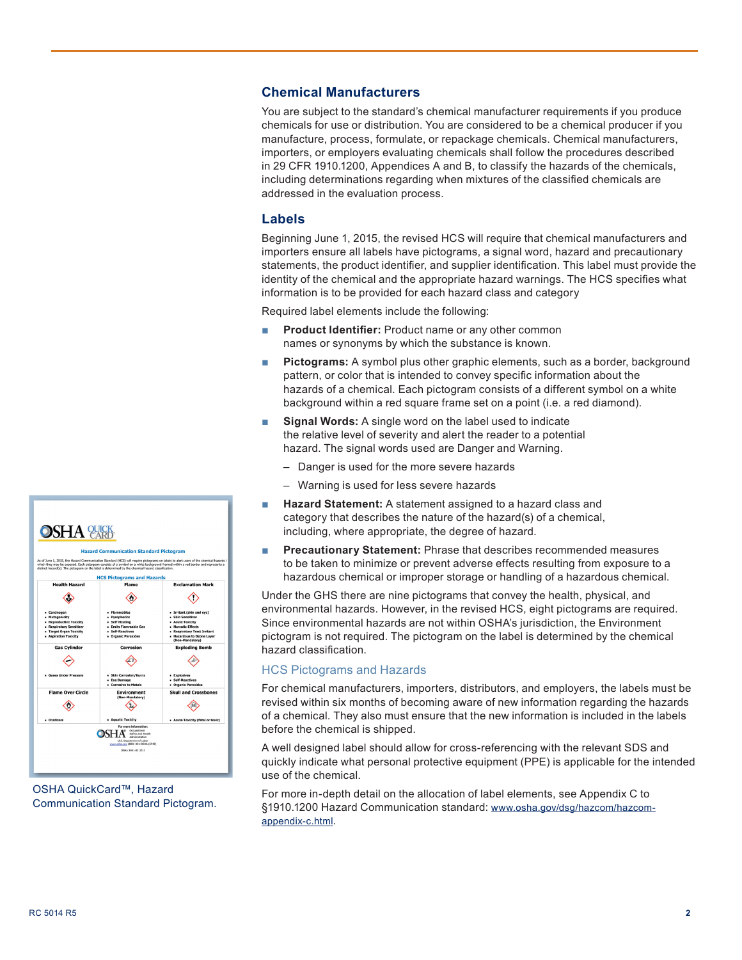## **Chemical Manufacturers**

You are subject to the standard's chemical manufacturer requirements if you produce chemicals for use or distribution. You are considered to be a chemical producer if you manufacture, process, formulate, or repackage chemicals. Chemical manufacturers, importers, or employers evaluating chemicals shall follow the procedures described in 29 CFR 1910.1200, Appendices A and B, to classify the hazards of the chemicals, including determinations regarding when mixtures of the classified chemicals are addressed in the evaluation process.

## **Labels**

Beginning June 1, 2015, the revised HCS will require that chemical manufacturers and importers ensure all labels have pictograms, a signal word, hazard and precautionary statements, the product identifier, and supplier identification. This label must provide the identity of the chemical and the appropriate hazard warnings. The HCS specifies what information is to be provided for each hazard class and category

Required label elements include the following:

- **Product Identifier:** Product name or any other common names or synonyms by which the substance is known.
- **Pictograms:** A symbol plus other graphic elements, such as a border, background pattern, or color that is intended to convey specific information about the hazards of a chemical. Each pictogram consists of a different symbol on a white background within a red square frame set on a point (i.e. a red diamond).
- **Signal Words:** A single word on the label used to indicate the relative level of severity and alert the reader to a potential hazard. The signal words used are Danger and Warning.
	- Danger is used for the more severe hazards
	- Warning is used for less severe hazards
- **Hazard Statement:** A statement assigned to a hazard class and category that describes the nature of the hazard(s) of a chemical, including, where appropriate, the degree of hazard.
- **Precautionary Statement: Phrase that describes recommended measures** to be taken to minimize or prevent adverse effects resulting from exposure to a hazardous chemical or improper storage or handling of a hazardous chemical.

Under the GHS there are nine pictograms that convey the health, physical, and environmental hazards. However, in the revised HCS, eight pictograms are required. Since environmental hazards are not within OSHA's jurisdiction, the Environment pictogram is not required. The pictogram on the label is determined by the chemical hazard classification.

#### HCS Pictograms and Hazards

For chemical manufacturers, importers, distributors, and employers, the labels must be revised within six months of becoming aware of new information regarding the hazards of a chemical. They also must ensure that the new information is included in the labels before the chemical is shipped.

A well designed label should allow for cross-referencing with the relevant SDS and quickly indicate what personal protective equipment (PPE) is applicable for the intended use of the chemical.

For more in-depth detail on the allocation of label elements, see Appendix C to §1910.1200 Hazard Communication standard: www.osha.gov/dsg/hazcom/hazcomappendix-c.html.



OSHA QuickCard™, Hazard Communication Standard Pictogram.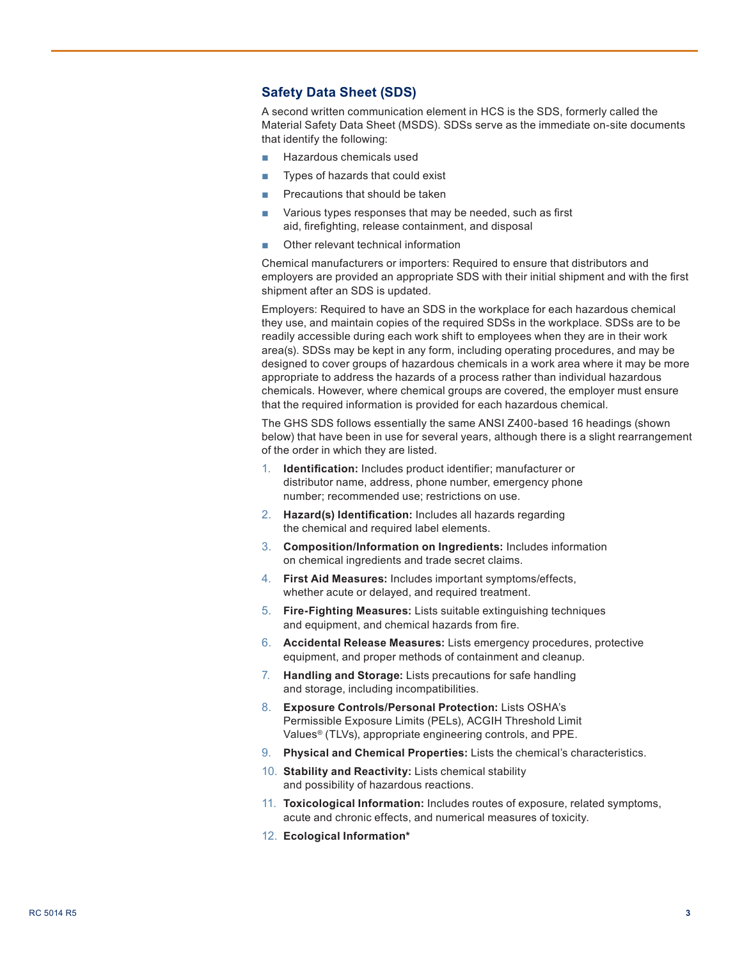## **Safety Data Sheet (SDS)**

A second written communication element in HCS is the SDS, formerly called the Material Safety Data Sheet (MSDS). SDSs serve as the immediate on-site documents that identify the following:

- Hazardous chemicals used
- Types of hazards that could exist
- Precautions that should be taken
- Various types responses that may be needed, such as first aid, firefighting, release containment, and disposal
- Other relevant technical information

Chemical manufacturers or importers: Required to ensure that distributors and employers are provided an appropriate SDS with their initial shipment and with the first shipment after an SDS is updated.

Employers: Required to have an SDS in the workplace for each hazardous chemical they use, and maintain copies of the required SDSs in the workplace. SDSs are to be readily accessible during each work shift to employees when they are in their work area(s). SDSs may be kept in any form, including operating procedures, and may be designed to cover groups of hazardous chemicals in a work area where it may be more appropriate to address the hazards of a process rather than individual hazardous chemicals. However, where chemical groups are covered, the employer must ensure that the required information is provided for each hazardous chemical.

The GHS SDS follows essentially the same ANSI Z400-based 16 headings (shown below) that have been in use for several years, although there is a slight rearrangement of the order in which they are listed.

- 1. **Identification:** Includes product identifier; manufacturer or distributor name, address, phone number, emergency phone number; recommended use; restrictions on use.
- 2. **Hazard(s) Identification:** Includes all hazards regarding the chemical and required label elements.
- 3. **Composition/Information on Ingredients:** Includes information on chemical ingredients and trade secret claims.
- 4. **First Aid Measures:** Includes important symptoms/effects, whether acute or delayed, and required treatment.
- 5. **Fire-Fighting Measures:** Lists suitable extinguishing techniques and equipment, and chemical hazards from fire.
- 6. **Accidental Release Measures:** Lists emergency procedures, protective equipment, and proper methods of containment and cleanup.
- 7. **Handling and Storage:** Lists precautions for safe handling and storage, including incompatibilities.
- 8. **Exposure Controls/Personal Protection:** Lists OSHA's Permissible Exposure Limits (PELs), ACGIH Threshold Limit Values® (TLVs), appropriate engineering controls, and PPE.
- 9. **Physical and Chemical Properties:** Lists the chemical's characteristics.
- 10. **Stability and Reactivity:** Lists chemical stability and possibility of hazardous reactions.
- 11. **Toxicological Information:** Includes routes of exposure, related symptoms, acute and chronic effects, and numerical measures of toxicity.
- 12. **Ecological Information\***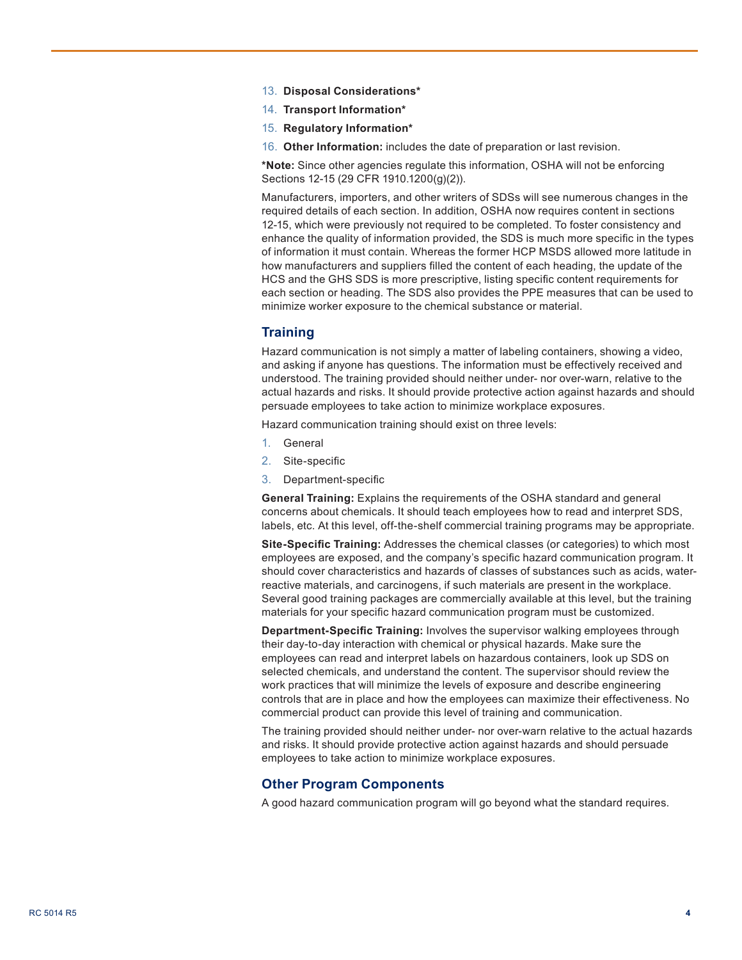- 13. **Disposal Considerations\***
- 14. **Transport Information\***
- 15. **Regulatory Information\***
- 16. **Other Information:** includes the date of preparation or last revision.

**\*Note:** Since other agencies regulate this information, OSHA will not be enforcing Sections 12-15 (29 CFR 1910.1200(g)(2)).

Manufacturers, importers, and other writers of SDSs will see numerous changes in the required details of each section. In addition, OSHA now requires content in sections 12-15, which were previously not required to be completed. To foster consistency and enhance the quality of information provided, the SDS is much more specific in the types of information it must contain. Whereas the former HCP MSDS allowed more latitude in how manufacturers and suppliers filled the content of each heading, the update of the HCS and the GHS SDS is more prescriptive, listing specific content requirements for each section or heading. The SDS also provides the PPE measures that can be used to minimize worker exposure to the chemical substance or material.

#### **Training**

Hazard communication is not simply a matter of labeling containers, showing a video, and asking if anyone has questions. The information must be effectively received and understood. The training provided should neither under- nor over-warn, relative to the actual hazards and risks. It should provide protective action against hazards and should persuade employees to take action to minimize workplace exposures.

Hazard communication training should exist on three levels:

- 1. General
- 2. Site-specific
- 3. Department-specific

**General Training:** Explains the requirements of the OSHA standard and general concerns about chemicals. It should teach employees how to read and interpret SDS, labels, etc. At this level, off-the-shelf commercial training programs may be appropriate.

**Site-Specific Training:** Addresses the chemical classes (or categories) to which most employees are exposed, and the company's specific hazard communication program. It should cover characteristics and hazards of classes of substances such as acids, waterreactive materials, and carcinogens, if such materials are present in the workplace. Several good training packages are commercially available at this level, but the training materials for your specific hazard communication program must be customized.

**Department-Specific Training:** Involves the supervisor walking employees through their day-to-day interaction with chemical or physical hazards. Make sure the employees can read and interpret labels on hazardous containers, look up SDS on selected chemicals, and understand the content. The supervisor should review the work practices that will minimize the levels of exposure and describe engineering controls that are in place and how the employees can maximize their effectiveness. No commercial product can provide this level of training and communication.

The training provided should neither under- nor over-warn relative to the actual hazards and risks. It should provide protective action against hazards and should persuade employees to take action to minimize workplace exposures.

#### **Other Program Components**

A good hazard communication program will go beyond what the standard requires.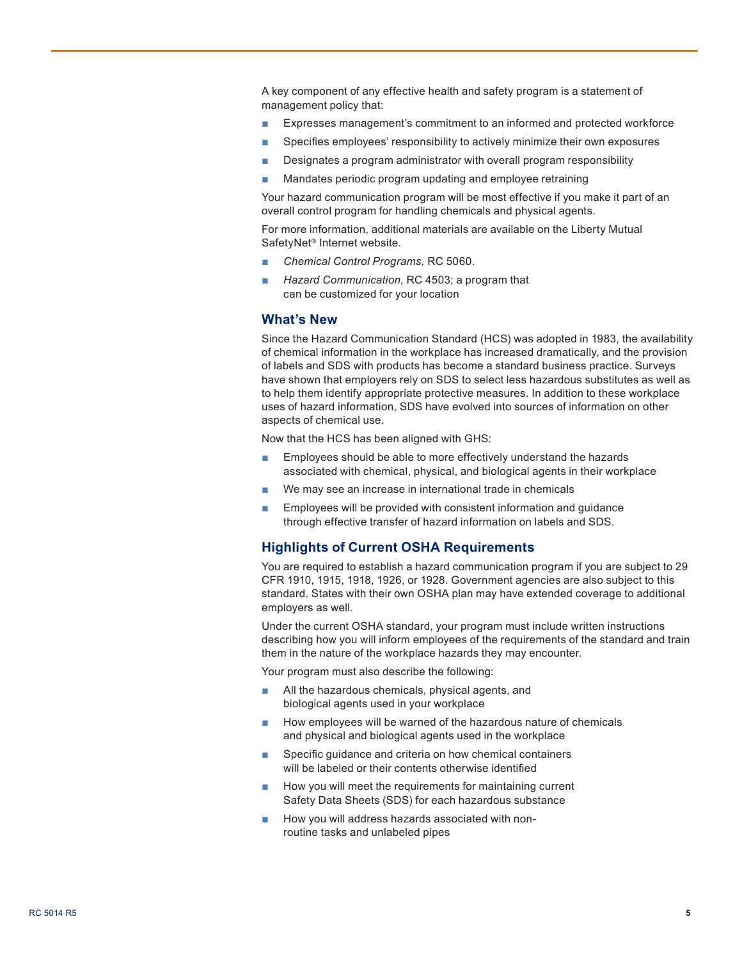A key component of any effective health and safety program is a statement of management policy that:

- Expresses management's commitment to an informed and protected workforce
- Specifies employees' responsibility to actively minimize their own exposures
- Designates a program administrator with overall program responsibility
- Mandates periodic program updating and employee retraining

Your hazard communication program will be most effective if you make it part of an overall control program for handling chemicals and physical agents.

For more information, additional materials are available on the Liberty Mutual SafetyNet® Internet website.

- *Chemical Control Programs,* RC 5060.
- Hazard Communication, RC 4503; a program that can be customized for your location

#### **What's New**

Since the Hazard Communication Standard (HCS) was adopted in 1983, the availability of chemical information in the workplace has increased dramatically, and the provision of labels and SDS with products has become a standard business practice. Surveys have shown that employers rely on SDS to select less hazardous substitutes as well as to help them identify appropriate protective measures. In addition to these workplace uses of hazard information, SDS have evolved into sources of information on other aspects of chemical use.

Now that the HCS has been aligned with GHS:

- Employees should be able to more effectively understand the hazards associated with chemical, physical, and biological agents in their workplace
- We may see an increase in international trade in chemicals
- Employees will be provided with consistent information and guidance through effective transfer of hazard information on labels and SDS.

## **Highlights of Current OSHA Requirements**

You are required to establish a hazard communication program if you are subject to 29 CFR 1910, 1915, 1918, 1926, or 1928. Government agencies are also subject to this standard. States with their own OSHA plan may have extended coverage to additional employers as well.

Under the current OSHA standard, your program must include written instructions describing how you will inform employees of the requirements of the standard and train them in the nature of the workplace hazards they may encounter.

Your program must also describe the following:

- All the hazardous chemicals, physical agents, and biological agents used in your workplace
- How employees will be warned of the hazardous nature of chemicals and physical and biological agents used in the workplace
- Specific guidance and criteria on how chemical containers will be labeled or their contents otherwise identified
- How you will meet the requirements for maintaining current Safety Data Sheets (SDS) for each hazardous substance
- How you will address hazards associated with nonroutine tasks and unlabeled pipes